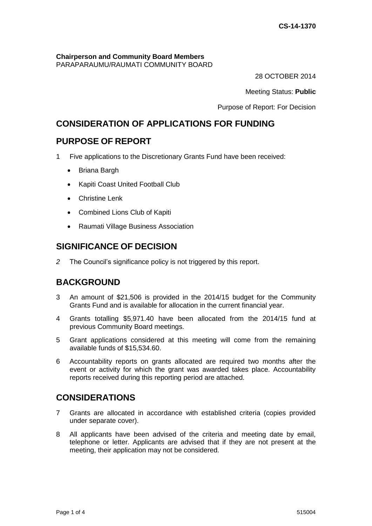# **Chairperson and Community Board Members**

PARAPARAUMU/RAUMATI COMMUNITY BOARD

28 OCTOBER 2014

Meeting Status: **Public**

Purpose of Report: For Decision

# **CONSIDERATION OF APPLICATIONS FOR FUNDING**

## **PURPOSE OF REPORT**

1 Five applications to the Discretionary Grants Fund have been received:

- Briana Bargh
- Kapiti Coast United Football Club
- Christine Lenk
- Combined Lions Club of Kapiti
- Raumati Village Business Association

## **SIGNIFICANCE OF DECISION**

*2* The Council's significance policy is not triggered by this report.

# **BACKGROUND**

- 3 An amount of \$21,506 is provided in the 2014/15 budget for the Community Grants Fund and is available for allocation in the current financial year.
- 4 Grants totalling \$5,971.40 have been allocated from the 2014/15 fund at previous Community Board meetings.
- 5 Grant applications considered at this meeting will come from the remaining available funds of \$15,534.60.
- 6 Accountability reports on grants allocated are required two months after the event or activity for which the grant was awarded takes place. Accountability reports received during this reporting period are attached.

# **CONSIDERATIONS**

- 7 Grants are allocated in accordance with established criteria (copies provided under separate cover).
- 8 All applicants have been advised of the criteria and meeting date by email, telephone or letter. Applicants are advised that if they are not present at the meeting, their application may not be considered.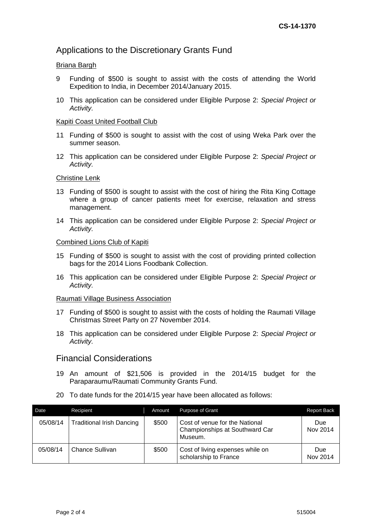## Applications to the Discretionary Grants Fund

### Briana Bargh

- 9 Funding of \$500 is sought to assist with the costs of attending the World Expedition to India, in December 2014/January 2015.
- 10 This application can be considered under Eligible Purpose 2: *Special Project or Activity.*

#### Kapiti Coast United Football Club

- 11 Funding of \$500 is sought to assist with the cost of using Weka Park over the summer season.
- 12 This application can be considered under Eligible Purpose 2: *Special Project or Activity.*

#### Christine Lenk

- 13 Funding of \$500 is sought to assist with the cost of hiring the Rita King Cottage where a group of cancer patients meet for exercise, relaxation and stress management.
- 14 This application can be considered under Eligible Purpose 2: *Special Project or Activity.*

#### Combined Lions Club of Kapiti

- 15 Funding of \$500 is sought to assist with the cost of providing printed collection bags for the 2014 Lions Foodbank Collection.
- 16 This application can be considered under Eligible Purpose 2: *Special Project or Activity.*

### Raumati Village Business Association

- 17 Funding of \$500 is sought to assist with the costs of holding the Raumati Village Christmas Street Party on 27 November 2014.
- 18 This application can be considered under Eligible Purpose 2: *Special Project or Activity.*

## Financial Considerations

- 19 An amount of \$21,506 is provided in the 2014/15 budget for the Paraparaumu/Raumati Community Grants Fund.
- 20 To date funds for the 2014/15 year have been allocated as follows:

| Date     | Recipient                        | Amount | <b>Purpose of Grant</b>                                                     | <b>Report Back</b> |
|----------|----------------------------------|--------|-----------------------------------------------------------------------------|--------------------|
| 05/08/14 | <b>Traditional Irish Dancing</b> | \$500  | Cost of venue for the National<br>Championships at Southward Car<br>Museum. | Due<br>Nov 2014    |
| 05/08/14 | Chance Sullivan                  | \$500  | Cost of living expenses while on<br>scholarship to France                   | Due<br>Nov 2014    |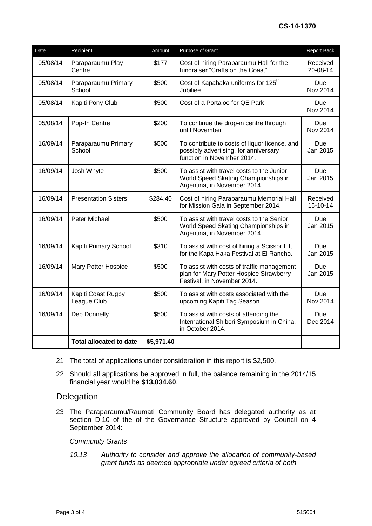| Date     | Recipient                         | Amount     | Purpose of Grant                                                                                                     | <b>Report Back</b>     |
|----------|-----------------------------------|------------|----------------------------------------------------------------------------------------------------------------------|------------------------|
| 05/08/14 | Paraparaumu Play<br>Centre        | \$177      | Cost of hiring Paraparaumu Hall for the<br>fundraiser "Crafts on the Coast"                                          | Received<br>20-08-14   |
| 05/08/14 | Paraparaumu Primary<br>School     | \$500      | Cost of Kapahaka uniforms for 125 <sup>th</sup><br>Jubiliee                                                          | Due<br><b>Nov 2014</b> |
| 05/08/14 | Kapiti Pony Club                  | \$500      | Cost of a Portaloo for QE Park                                                                                       | Due<br><b>Nov 2014</b> |
| 05/08/14 | Pop-In Centre                     | \$200      | To continue the drop-in centre through<br>until November                                                             | Due<br>Nov 2014        |
| 16/09/14 | Paraparaumu Primary<br>School     | \$500      | To contribute to costs of liquor licence, and<br>possibly advertising, for anniversary<br>function in November 2014. | Due<br>Jan 2015        |
| 16/09/14 | Josh Whyte                        | \$500      | To assist with travel costs to the Junior<br>World Speed Skating Championships in<br>Argentina, in November 2014.    | <b>Due</b><br>Jan 2015 |
| 16/09/14 | <b>Presentation Sisters</b>       | \$284.40   | Cost of hiring Paraparaumu Memorial Hall<br>for Mission Gala in September 2014.                                      | Received<br>15-10-14   |
| 16/09/14 | Peter Michael                     | \$500      | To assist with travel costs to the Senior<br>World Speed Skating Championships in<br>Argentina, in November 2014.    | <b>Due</b><br>Jan 2015 |
| 16/09/14 | Kapiti Primary School             | \$310      | To assist with cost of hiring a Scissor Lift<br>for the Kapa Haka Festival at El Rancho.                             | Due<br>Jan 2015        |
| 16/09/14 | <b>Mary Potter Hospice</b>        | \$500      | To assist with costs of traffic management<br>plan for Mary Potter Hospice Strawberry<br>Festival, in November 2014. | Due<br>Jan 2015        |
| 16/09/14 | Kapiti Coast Rugby<br>League Club | \$500      | To assist with costs associated with the<br>upcoming Kapiti Tag Season.                                              | <b>Due</b><br>Nov 2014 |
| 16/09/14 | Deb Donnelly                      | \$500      | To assist with costs of attending the<br>International Shibori Symposium in China,<br>in October 2014.               | Due<br>Dec 2014        |
|          | <b>Total allocated to date</b>    | \$5,971.40 |                                                                                                                      |                        |

- 21 The total of applications under consideration in this report is \$2,500.
- 22 Should all applications be approved in full, the balance remaining in the 2014/15 financial year would be **\$13,034.60**.

## Delegation

23 The Paraparaumu/Raumati Community Board has delegated authority as at section D.10 of the of the Governance Structure approved by Council on 4 September 2014:

#### *Community Grants*

*10.13 Authority to consider and approve the allocation of community-based grant funds as deemed appropriate under agreed criteria of both*